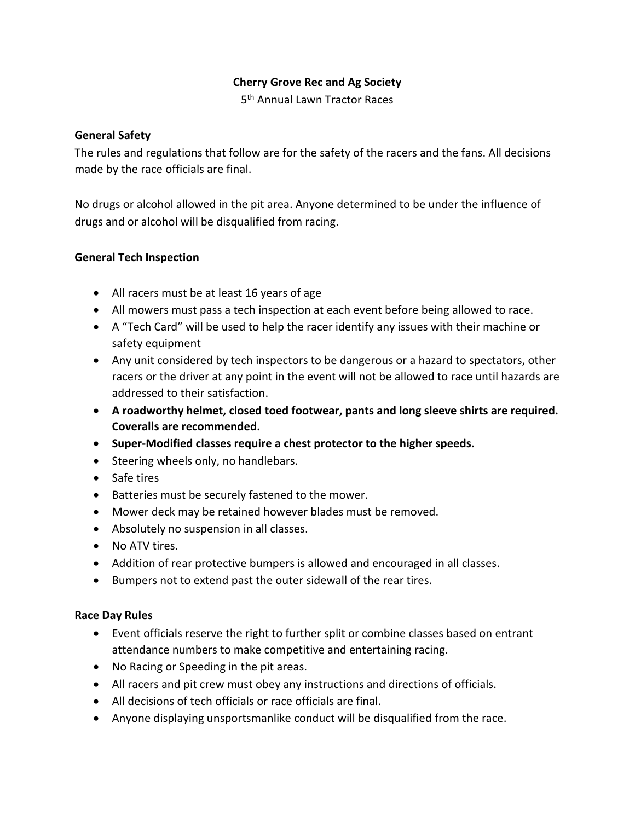# **Cherry Grove Rec and Ag Society**

5<sup>th</sup> Annual Lawn Tractor Races

## **General Safety**

The rules and regulations that follow are for the safety of the racers and the fans. All decisions made by the race officials are final.

No drugs or alcohol allowed in the pit area. Anyone determined to be under the influence of drugs and or alcohol will be disqualified from racing.

## **General Tech Inspection**

- All racers must be at least 16 years of age
- All mowers must pass a tech inspection at each event before being allowed to race.
- A "Tech Card" will be used to help the racer identify any issues with their machine or safety equipment
- Any unit considered by tech inspectors to be dangerous or a hazard to spectators, other racers or the driver at any point in the event will not be allowed to race until hazards are addressed to their satisfaction.
- **A roadworthy helmet, closed toed footwear, pants and long sleeve shirts are required. Coveralls are recommended.**
- **Super-Modified classes require a chest protector to the higher speeds.**
- Steering wheels only, no handlebars.
- Safe tires
- Batteries must be securely fastened to the mower.
- Mower deck may be retained however blades must be removed.
- Absolutely no suspension in all classes.
- No ATV tires.
- Addition of rear protective bumpers is allowed and encouraged in all classes.
- Bumpers not to extend past the outer sidewall of the rear tires.

# **Race Day Rules**

- Event officials reserve the right to further split or combine classes based on entrant attendance numbers to make competitive and entertaining racing.
- No Racing or Speeding in the pit areas.
- All racers and pit crew must obey any instructions and directions of officials.
- All decisions of tech officials or race officials are final.
- Anyone displaying unsportsmanlike conduct will be disqualified from the race.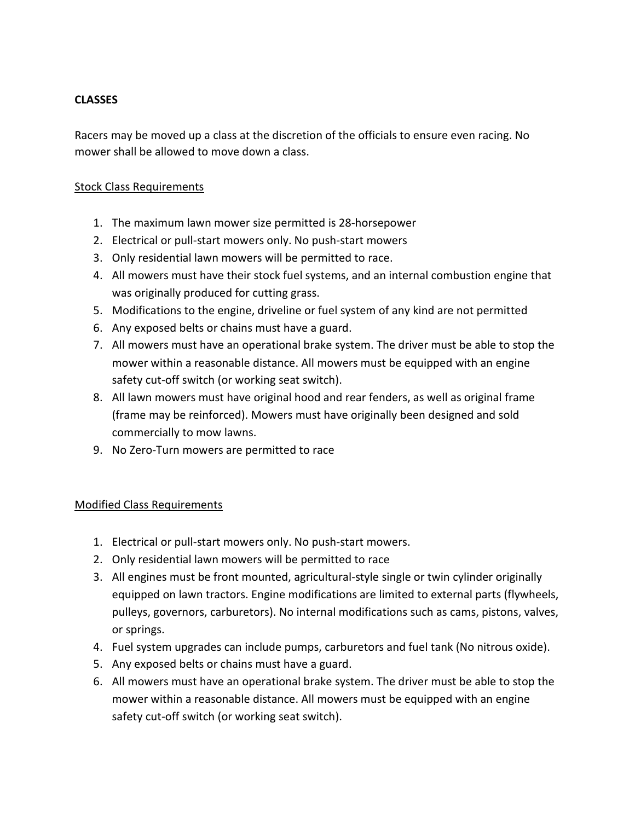# **CLASSES**

Racers may be moved up a class at the discretion of the officials to ensure even racing. No mower shall be allowed to move down a class.

## Stock Class Requirements

- 1. The maximum lawn mower size permitted is 28-horsepower
- 2. Electrical or pull-start mowers only. No push-start mowers
- 3. Only residential lawn mowers will be permitted to race.
- 4. All mowers must have their stock fuel systems, and an internal combustion engine that was originally produced for cutting grass.
- 5. Modifications to the engine, driveline or fuel system of any kind are not permitted
- 6. Any exposed belts or chains must have a guard.
- 7. All mowers must have an operational brake system. The driver must be able to stop the mower within a reasonable distance. All mowers must be equipped with an engine safety cut-off switch (or working seat switch).
- 8. All lawn mowers must have original hood and rear fenders, as well as original frame (frame may be reinforced). Mowers must have originally been designed and sold commercially to mow lawns.
- 9. No Zero-Turn mowers are permitted to race

# Modified Class Requirements

- 1. Electrical or pull-start mowers only. No push-start mowers.
- 2. Only residential lawn mowers will be permitted to race
- 3. All engines must be front mounted, agricultural-style single or twin cylinder originally equipped on lawn tractors. Engine modifications are limited to external parts (flywheels, pulleys, governors, carburetors). No internal modifications such as cams, pistons, valves, or springs.
- 4. Fuel system upgrades can include pumps, carburetors and fuel tank (No nitrous oxide).
- 5. Any exposed belts or chains must have a guard.
- 6. All mowers must have an operational brake system. The driver must be able to stop the mower within a reasonable distance. All mowers must be equipped with an engine safety cut-off switch (or working seat switch).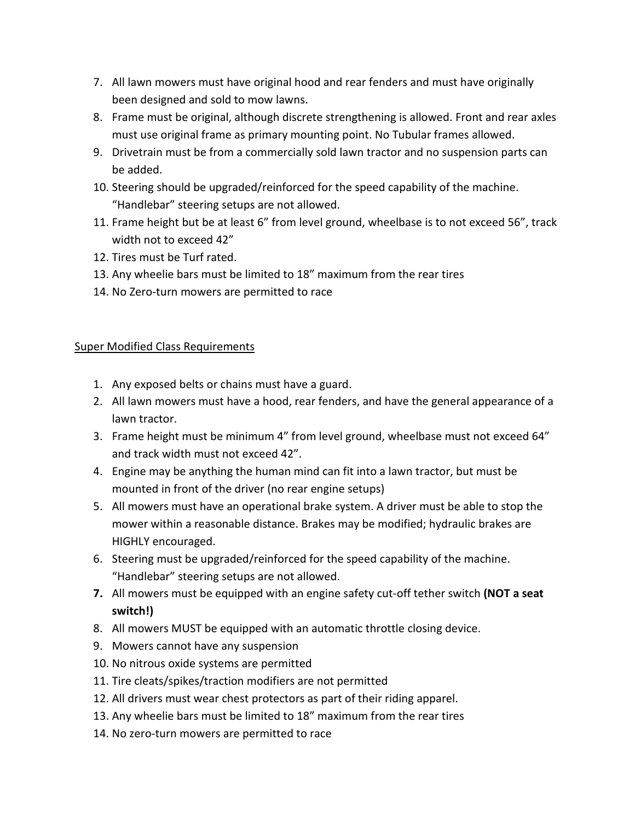- 7. All lawn mowers must have original hood and rear fenders and must have originally been designed and sold to mow lawns.
- 8. Frame must be original, although discrete strengthening is allowed. Front and rear axles must use original frame as primary mounting point. No Tubular frames allowed.
- 9. Drivetrain must be from a commercially sold lawn tractor and no suspension parts can be added.
- 10. Steering should be upgraded/reinforced for the speed capability of the machine. "Handlebar" steering setups are not allowed.
- 11. Frame height but be at least 6" from level ground, wheelbase is to not exceed 56", track width not to exceed 42"
- 12. Tires must be Turf rated.
- 13. Any wheelie bars must be limited to 18" maximum from the rear tires
- 14. No Zero-turn mowers are permitted to race

# Super Modified Class Requirements

- 1. Any exposed belts or chains must have a guard.
- 2. All lawn mowers must have a hood, rear fenders, and have the general appearance of a lawn tractor.
- 3. Frame height must be minimum 4" from level ground, wheelbase must not exceed 64" and track width must not exceed 42".
- 4. Engine may be anything the human mind can fit into a lawn tractor, but must be mounted in front of the driver (no rear engine setups)
- 5. All mowers must have an operational brake system. A driver must be able to stop the mower within a reasonable distance. Brakes may be modified; hydraulic brakes are HIGHLY encouraged.
- 6. Steering must be upgraded/reinforced for the speed capability of the machine. "Handlebar" steering setups are not allowed.
- **7.** All mowers must be equipped with an engine safety cut-off tether switch **(NOT a seat switch!)**
- 8. All mowers MUST be equipped with an automatic throttle closing device.
- 9. Mowers cannot have any suspension
- 10. No nitrous oxide systems are permitted
- 11. Tire cleats/spikes/traction modifiers are not permitted
- 12. All drivers must wear chest protectors as part of their riding apparel.
- 13. Any wheelie bars must be limited to 18" maximum from the rear tires
- 14. No zero-turn mowers are permitted to race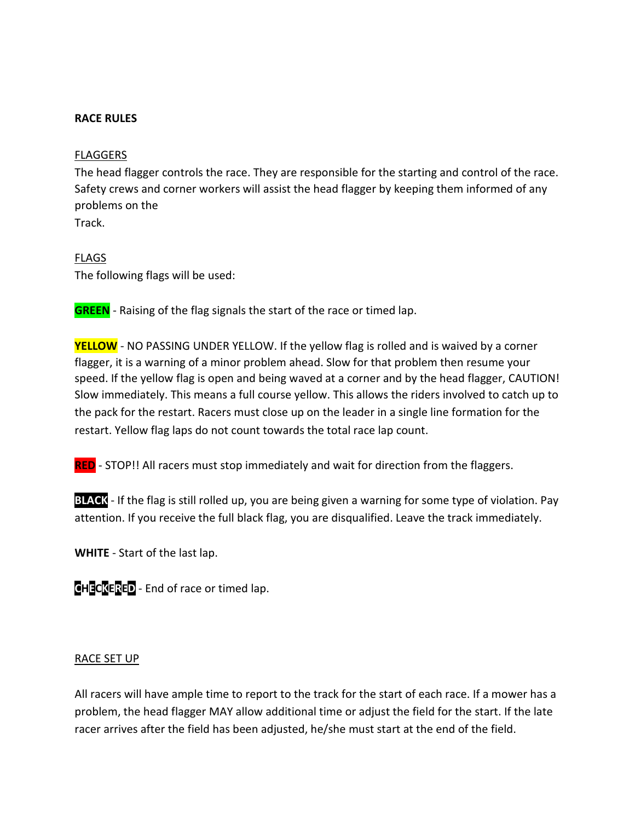### **RACE RULES**

### FLAGGERS

The head flagger controls the race. They are responsible for the starting and control of the race. Safety crews and corner workers will assist the head flagger by keeping them informed of any problems on the Track.

### FLAGS

The following flags will be used:

**GREEN** - Raising of the flag signals the start of the race or timed lap.

**YELLOW** - NO PASSING UNDER YELLOW. If the yellow flag is rolled and is waived by a corner flagger, it is a warning of a minor problem ahead. Slow for that problem then resume your speed. If the yellow flag is open and being waved at a corner and by the head flagger, CAUTION! Slow immediately. This means a full course yellow. This allows the riders involved to catch up to the pack for the restart. Racers must close up on the leader in a single line formation for the restart. Yellow flag laps do not count towards the total race lap count.

**RED** - STOP!! All racers must stop immediately and wait for direction from the flaggers.

**BLACK** - If the flag is still rolled up, you are being given a warning for some type of violation. Pay attention. If you receive the full black flag, you are disqualified. Leave the track immediately.

**WHITE** - Start of the last lap.

**CHECKERED** - End of race or timed lap.

### RACE SET UP

All racers will have ample time to report to the track for the start of each race. If a mower has a problem, the head flagger MAY allow additional time or adjust the field for the start. If the late racer arrives after the field has been adjusted, he/she must start at the end of the field.